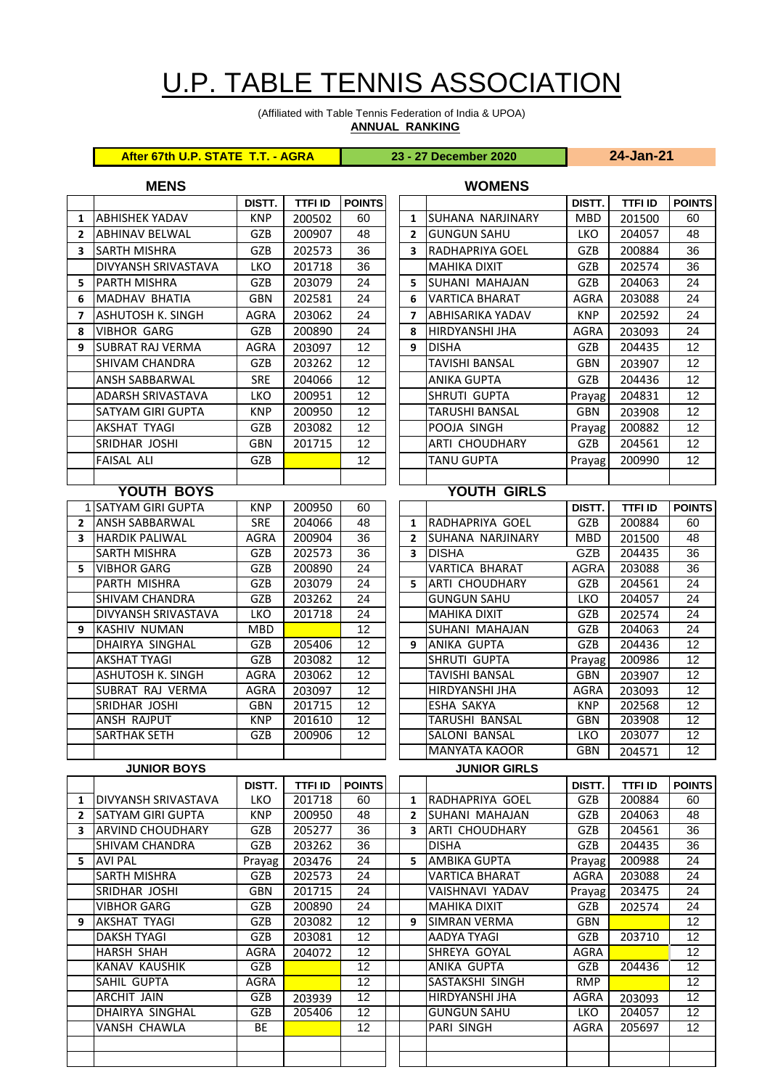## U.P. TABLE TENNIS ASSOCIATION

(Affiliated with Table Tennis Federation of India & UPOA) **ANNUAL RANKING**

**After 67th U.P. STATE T.T. - AGRA 23 - 27 December 2020 24-Jan-21**

## **MENS WOMENS**

|                   |                                                        | DISTT.                   | <b>TTFI ID</b>   | <b>POINTS</b>   |  |                     |                                      | DISTT.               | <b>TTFI ID</b>           | <b>POINTS</b>   |
|-------------------|--------------------------------------------------------|--------------------------|------------------|-----------------|--|---------------------|--------------------------------------|----------------------|--------------------------|-----------------|
| 1                 | <b>ABHISHEK YADAV</b>                                  | <b>KNP</b>               | 200502           | 60              |  | $\mathbf{1}$        | <b>SUHANA NARJINARY</b>              | <b>MBD</b>           | 201500                   | 60              |
| $\mathbf{2}$      | <b>ABHINAV BELWAL</b>                                  | GZB                      | 200907           | 48              |  | $\mathbf{2}$        | <b>GUNGUN SAHU</b>                   | <b>LKO</b>           | 204057                   | 48              |
| 3                 | <b>SARTH MISHRA</b>                                    | GZB                      | 202573           | 36              |  | 3                   | <b>RADHAPRIYA GOEL</b>               | GZB                  | 200884                   | 36              |
|                   | DIVYANSH SRIVASTAVA                                    | <b>LKO</b>               | 201718           | 36              |  |                     | <b>MAHIKA DIXIT</b>                  | GZB                  | 202574                   | 36              |
| 5                 | <b>PARTH MISHRA</b>                                    | GZB                      | 203079           | 24              |  | 5.                  | <b>SUHANI MAHAJAN</b>                | GZB                  | 204063                   | 24              |
| 6                 | <b>MADHAV BHATIA</b>                                   | <b>GBN</b>               | 202581           | 24              |  | 6                   | <b>VARTICA BHARAT</b>                | <b>AGRA</b>          | 203088                   | 24              |
| 7                 | <b>ASHUTOSH K. SINGH</b>                               | <b>AGRA</b>              | 203062           | 24              |  | 7                   | <b>ABHISARIKA YADAV</b>              | <b>KNP</b>           | 202592                   | 24              |
| 8                 | <b>VIBHOR GARG</b>                                     | GZB                      | 200890           | 24              |  | 8                   | HIRDYANSHI JHA                       | <b>AGRA</b>          | 203093                   | 24              |
| 9                 | <b>SUBRAT RAJ VERMA</b>                                | AGRA                     | 203097           | 12              |  | 9                   | <b>DISHA</b>                         | GZB                  | 204435                   | 12              |
|                   | <b>SHIVAM CHANDRA</b>                                  | GZB                      | 203262           | 12              |  |                     | <b>TAVISHI BANSAL</b>                | <b>GBN</b>           | 203907                   | 12              |
|                   | <b>ANSH SABBARWAL</b>                                  | <b>SRE</b>               | 204066           | 12              |  |                     | <b>ANIKA GUPTA</b>                   | GZB                  | 204436                   | 12              |
|                   | <b>ADARSH SRIVASTAVA</b>                               | LKO                      | 200951           | 12              |  |                     | SHRUTI GUPTA                         | Prayag               | 204831                   | 12              |
|                   | <b>SATYAM GIRI GUPTA</b>                               | <b>KNP</b>               | 200950           | 12              |  |                     | <b>TARUSHI BANSAL</b>                | <b>GBN</b>           | 203908                   | 12              |
|                   | <b>AKSHAT TYAGI</b>                                    | GZB                      | 203082           | 12              |  |                     | POOJA SINGH                          |                      | 200882                   | 12              |
|                   |                                                        |                          |                  | 12              |  |                     |                                      | Prayag               |                          | 12              |
|                   | SRIDHAR JOSHI                                          | <b>GBN</b>               | 201715           |                 |  |                     | ARTI CHOUDHARY                       | GZB                  | 204561                   |                 |
|                   | <b>FAISAL ALI</b>                                      | GZB                      |                  | 12              |  |                     | <b>TANU GUPTA</b>                    | Prayag               | 200990                   | 12              |
|                   |                                                        |                          |                  |                 |  |                     |                                      |                      |                          |                 |
|                   | YOUTH BOYS                                             |                          |                  |                 |  |                     | <b>YOUTH GIRLS</b>                   |                      |                          |                 |
|                   | 1 SATYAM GIRI GUPTA                                    | <b>KNP</b>               | 200950           | 60              |  |                     |                                      | DISTT.               | <b>TTFI ID</b>           | <b>POINTS</b>   |
| $\overline{2}$    | <b>ANSH SABBARWAL</b>                                  | <b>SRE</b>               | 204066           | 48              |  | 1                   | RADHAPRIYA GOEL                      | GZB                  | 200884                   | 60              |
| 3                 | <b>HARDIK PALIWAL</b>                                  | <b>AGRA</b>              | 200904           | 36              |  | $\mathbf{2}$        | <b>SUHANA NARJINARY</b>              | <b>MBD</b>           | 201500                   | 48              |
|                   | <b>SARTH MISHRA</b>                                    | GZB                      | 202573           | 36              |  | 3                   | <b>DISHA</b>                         | GZB                  | 204435                   | $\overline{36}$ |
| 5                 | <b>VIBHOR GARG</b><br><b>PARTH MISHRA</b>              | GZB                      | 200890           | 24<br>24        |  |                     | <b>VARTICA BHARAT</b>                | <b>AGRA</b>          | 203088                   | 36<br>24        |
|                   |                                                        | GZB                      | 203079           |                 |  | 5.                  | <b>ARTI CHOUDHARY</b>                | GZB                  | 204561                   |                 |
|                   | <b>SHIVAM CHANDRA</b>                                  | GZB                      | 203262           | 24              |  |                     | <b>GUNGUN SAHU</b>                   | LKO                  | 204057                   | 24<br>24        |
| 9                 | <b>DIVYANSH SRIVASTAVA</b>                             | LKO<br><b>MBD</b>        | 201718           | 24<br>12        |  |                     | <b>MAHIKA DIXIT</b>                  | GZB                  | 202574                   | 24              |
|                   | <b>KASHIV NUMAN</b><br>DHAIRYA SINGHAL                 | GZB                      | 205406           | $\overline{12}$ |  | 9                   | SUHANI MAHAJAN<br><b>ANIKA GUPTA</b> | GZB<br>GZB           | 204063<br>204436         | 12              |
|                   | <b>AKSHAT TYAGI</b>                                    | GZB                      | 203082           | 12              |  |                     | SHRUTI GUPTA                         |                      | 200986                   | 12              |
|                   | ASHUTOSH K. SINGH                                      | AGRA                     | 203062           | 12              |  |                     | <b>TAVISHI BANSAL</b>                | Prayag<br><b>GBN</b> | 203907                   | 12              |
|                   | SUBRAT RAJ VERMA                                       | <b>AGRA</b>              | 203097           | 12              |  |                     | HIRDYANSHI JHA                       | AGRA                 | 203093                   | 12              |
|                   | SRIDHAR JOSHI                                          | <b>GBN</b>               | 201715           | 12              |  |                     | ESHA SAKYA                           | <b>KNP</b>           | 202568                   | 12              |
|                   | <b>ANSH RAJPUT</b>                                     | <b>KNP</b>               | 201610           | 12              |  |                     | TARUSHI BANSAL                       | <b>GBN</b>           | 203908                   | 12              |
|                   | <b>SARTHAK SETH</b>                                    | GZB                      | 200906           | 12              |  |                     | SALONI BANSAL                        | <b>LKO</b>           | 203077                   | $\overline{12}$ |
|                   |                                                        |                          |                  |                 |  |                     | <b>MANYATA KAOOR</b>                 | <b>GBN</b>           | 204571                   | 12              |
|                   | <b>JUNIOR BOYS</b>                                     |                          |                  |                 |  | <b>JUNIOR GIRLS</b> |                                      |                      |                          |                 |
|                   |                                                        |                          |                  |                 |  |                     |                                      |                      |                          |                 |
|                   |                                                        | DISTT.                   | TTFI ID          | <b>POINTS</b>   |  |                     | RADHAPRIYA GOEL                      | DISTT.               | <b>TTFI ID</b><br>200884 | <b>POINTS</b>   |
| 1<br>$\mathbf{2}$ | <b>DIVYANSH SRIVASTAVA</b><br><b>SATYAM GIRI GUPTA</b> | <b>LKO</b><br><b>KNP</b> | 201718<br>200950 | 60<br>48        |  | 1<br>$\mathbf{2}$   | <b>SUHANI MAHAJAN</b>                | GZB<br>GZB           | 204063                   | 60<br>48        |
| 3                 | <b>ARVIND CHOUDHARY</b>                                | GZB                      | 205277           | 36              |  | 3                   | <b>ARTI CHOUDHARY</b>                | GZB                  | 204561                   | 36              |
|                   | <b>SHIVAM CHANDRA</b>                                  | GZB                      | 203262           | 36              |  |                     | <b>DISHA</b>                         | GZB                  | 204435                   | 36              |
| 5.                | <b>AVI PAL</b>                                         | Prayag                   | 203476           | 24              |  | 5.                  | <b>AMBIKA GUPTA</b>                  | Prayag               | 200988                   | 24              |
|                   | <b>SARTH MISHRA</b>                                    | GZB                      | 202573           | 24              |  |                     | <b>VARTICA BHARAT</b>                | AGRA                 | 203088                   | 24              |
|                   | SRIDHAR JOSHI                                          | <b>GBN</b>               | 201715           | 24              |  |                     | VAISHNAVI YADAV                      | Prayag               | 203475                   | 24              |
|                   | <b>VIBHOR GARG</b>                                     | GZB                      | 200890           | 24              |  |                     | <b>MAHIKA DIXIT</b>                  | GZB                  | 202574                   | 24              |
| 9                 | <b>AKSHAT TYAGI</b>                                    | GZB                      | 203082           | 12              |  | 9                   | <b>SIMRAN VERMA</b>                  | <b>GBN</b>           |                          | 12              |
|                   | <b>DAKSH TYAGI</b>                                     | GZB                      | 203081           | 12              |  |                     | AADYA TYAGI                          | GZB                  | 203710                   | 12              |
|                   | <b>HARSH SHAH</b>                                      | <b>AGRA</b>              | 204072           | 12              |  |                     | SHREYA GOYAL                         | <b>AGRA</b>          |                          | 12              |
|                   | <b>KANAV KAUSHIK</b>                                   | GZB                      |                  | 12              |  |                     | ANIKA GUPTA                          | GZB                  | 204436                   | 12              |
|                   | SAHIL GUPTA                                            | AGRA                     |                  | 12              |  |                     | SASTAKSHI SINGH                      | <b>RMP</b>           |                          | 12              |
|                   | ARCHIT JAIN                                            | GZB                      | 203939           | 12              |  |                     | HIRDYANSHI JHA                       | AGRA                 | 203093                   | 12              |
|                   | DHAIRYA SINGHAL                                        | GZB                      | 205406           | 12              |  |                     | <b>GUNGUN SAHU</b>                   | <b>LKO</b>           | 204057                   | 12              |
|                   | VANSH CHAWLA                                           | BE                       |                  | 12              |  |                     | PARI SINGH                           | AGRA                 | 205697                   | 12              |
|                   |                                                        |                          |                  |                 |  |                     |                                      |                      |                          |                 |
|                   |                                                        |                          |                  |                 |  |                     |                                      |                      |                          |                 |
|                   |                                                        |                          |                  |                 |  |                     |                                      |                      |                          |                 |